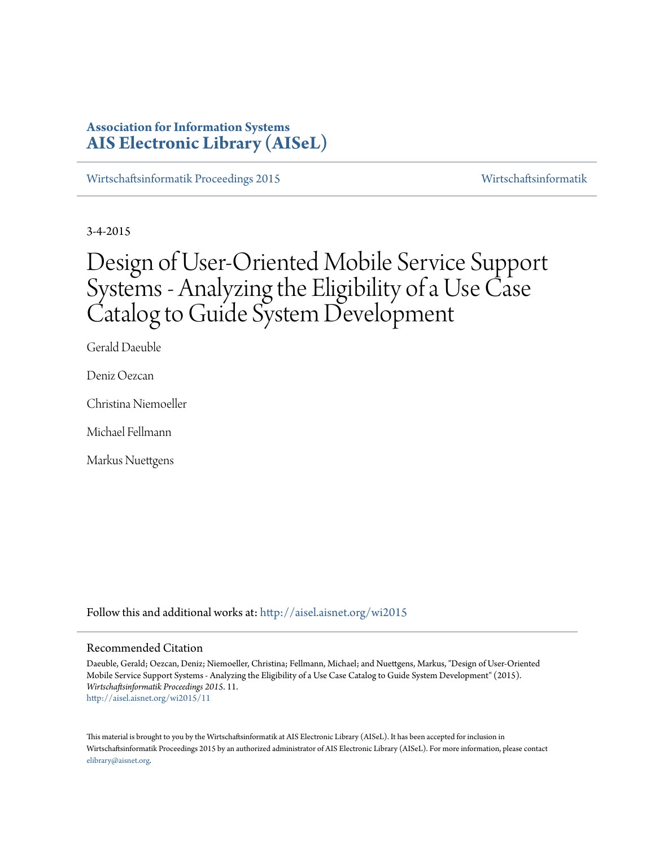# **Association for Information Systems [AIS Electronic Library \(AISeL\)](http://aisel.aisnet.org?utm_source=aisel.aisnet.org%2Fwi2015%2F11&utm_medium=PDF&utm_campaign=PDFCoverPages)**

[Wirtschaftsinformatik Proceedings 2015](http://aisel.aisnet.org/wi2015?utm_source=aisel.aisnet.org%2Fwi2015%2F11&utm_medium=PDF&utm_campaign=PDFCoverPages) [Wirtschaftsinformatik](http://aisel.aisnet.org/wi?utm_source=aisel.aisnet.org%2Fwi2015%2F11&utm_medium=PDF&utm_campaign=PDFCoverPages)

3-4-2015

# Design of User-Oriented Mobile Service Support Systems - Analyzing the Eligibility of a Use Case Catalog to Guide System Development

Gerald Daeuble

Deniz Oezcan

Christina Niemoeller

Michael Fellmann

Markus Nuettgens

Follow this and additional works at: [http://aisel.aisnet.org/wi2015](http://aisel.aisnet.org/wi2015?utm_source=aisel.aisnet.org%2Fwi2015%2F11&utm_medium=PDF&utm_campaign=PDFCoverPages)

### Recommended Citation

Daeuble, Gerald; Oezcan, Deniz; Niemoeller, Christina; Fellmann, Michael; and Nuettgens, Markus, "Design of User-Oriented Mobile Service Support Systems - Analyzing the Eligibility of a Use Case Catalog to Guide System Development" (2015). *Wirtschaftsinformatik Proceedings 2015*. 11. [http://aisel.aisnet.org/wi2015/11](http://aisel.aisnet.org/wi2015/11?utm_source=aisel.aisnet.org%2Fwi2015%2F11&utm_medium=PDF&utm_campaign=PDFCoverPages)

This material is brought to you by the Wirtschaftsinformatik at AIS Electronic Library (AISeL). It has been accepted for inclusion in Wirtschaftsinformatik Proceedings 2015 by an authorized administrator of AIS Electronic Library (AISeL). For more information, please contact [elibrary@aisnet.org.](mailto:elibrary@aisnet.org%3E)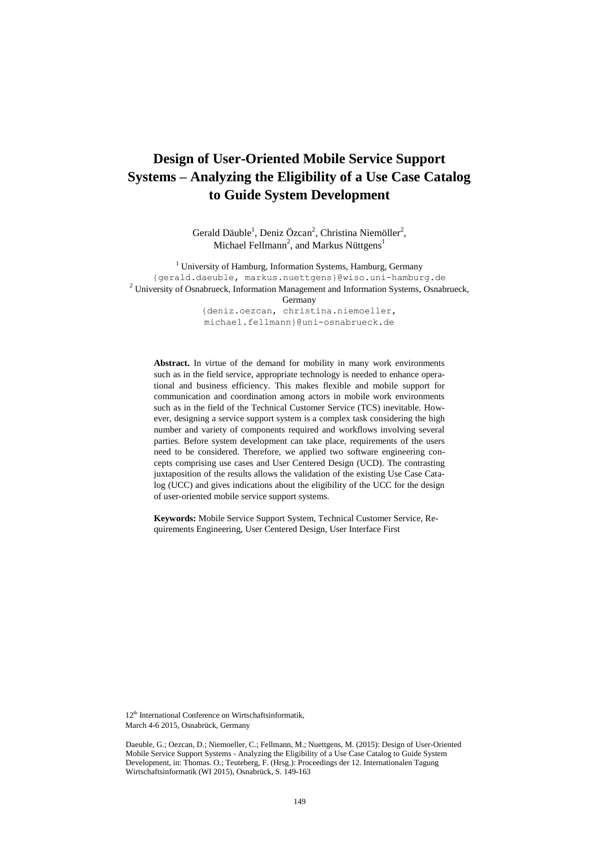# **Design of User-Oriented Mobile Service Support Systems – Analyzing the Eligibility of a Use Case Catalog to Guide System Development**

Gerald Däuble<sup>1</sup>, Deniz Özcan<sup>2</sup>, Christina Niemöller<sup>2</sup>, Michael Fellmann<sup>2</sup>, and Markus Nüttgens<sup>1</sup>

<sup>1</sup> University of Hamburg, Information Systems, Hamburg, Germany {gerald.daeuble, markus.nuettgens}@wiso.uni-hamburg.de <sup>2</sup> University of Osnabrueck, Information Management and Information Systems, Osnabrueck, Germany

{deniz.oezcan, christina.niemoeller, michael.fellmann}@uni-osnabrueck.de

**Abstract.** In virtue of the demand for mobility in many work environments such as in the field service, appropriate technology is needed to enhance operational and business efficiency. This makes flexible and mobile support for communication and coordination among actors in mobile work environments such as in the field of the Technical Customer Service (TCS) inevitable. However, designing a service support system is a complex task considering the high number and variety of components required and workflows involving several parties. Before system development can take place, requirements of the users need to be considered. Therefore, we applied two software engineering concepts comprising use cases and User Centered Design (UCD). The contrasting juxtaposition of the results allows the validation of the existing Use Case Catalog (UCC) and gives indications about the eligibility of the UCC for the design of user-oriented mobile service support systems.

**Keywords:** Mobile Service Support System, Technical Customer Service, Requirements Engineering, User Centered Design, User Interface First

12<sup>th</sup> International Conference on Wirtschaftsinformatik, March 4-6 2015, Osnabrück, Germany

Daeuble, G.; Oezcan, D.; Niemoeller, C.; Fellmann, M.; Nuettgens, M. (2015): Design of User-Oriented Mobile Service Support Systems - Analyzing the Eligibility of a Use Case Catalog to Guide System Development, in: Thomas. O.; Teuteberg, F. (Hrsg.): Proceedings der 12. Internationalen Tagung Wirtschaftsinformatik (WI 2015), Osnabrück, S. 149-163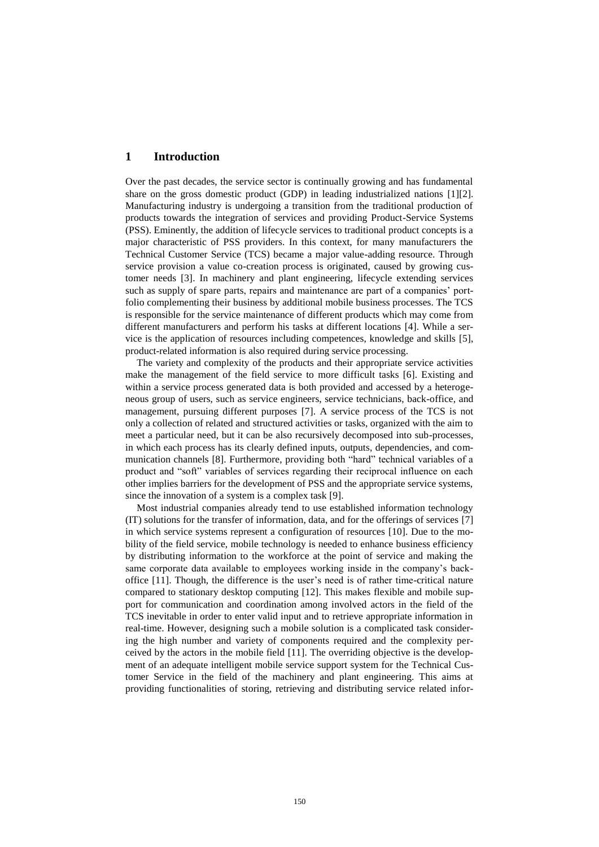# **1 Introduction**

Over the past decades, the service sector is continually growing and has fundamental share on the gross domestic product (GDP) in leading industrialized nations [1][2]. Manufacturing industry is undergoing a transition from the traditional production of products towards the integration of services and providing Product-Service Systems (PSS). Eminently, the addition of lifecycle services to traditional product concepts is a major characteristic of PSS providers. In this context, for many manufacturers the Technical Customer Service (TCS) became a major value-adding resource. Through service provision a value co-creation process is originated, caused by growing customer needs [3]. In machinery and plant engineering, lifecycle extending services such as supply of spare parts, repairs and maintenance are part of a companies' portfolio complementing their business by additional mobile business processes. The TCS is responsible for the service maintenance of different products which may come from different manufacturers and perform his tasks at different locations [4]. While a service is the application of resources including competences, knowledge and skills [5], product-related information is also required during service processing.

The variety and complexity of the products and their appropriate service activities make the management of the field service to more difficult tasks [6]. Existing and within a service process generated data is both provided and accessed by a heterogeneous group of users, such as service engineers, service technicians, back-office, and management, pursuing different purposes [7]. A service process of the TCS is not only a collection of related and structured activities or tasks, organized with the aim to meet a particular need, but it can be also recursively decomposed into sub-processes, in which each process has its clearly defined inputs, outputs, dependencies, and communication channels [8]. Furthermore, providing both "hard" technical variables of a product and "soft" variables of services regarding their reciprocal influence on each other implies barriers for the development of PSS and the appropriate service systems, since the innovation of a system is a complex task [9].

Most industrial companies already tend to use established information technology (IT) solutions for the transfer of information, data, and for the offerings of services [7] in which service systems represent a configuration of resources [10]. Due to the mobility of the field service, mobile technology is needed to enhance business efficiency by distributing information to the workforce at the point of service and making the same corporate data available to employees working inside in the company's backoffice [11]. Though, the difference is the user's need is of rather time-critical nature compared to stationary desktop computing [12]. This makes flexible and mobile support for communication and coordination among involved actors in the field of the TCS inevitable in order to enter valid input and to retrieve appropriate information in real-time. However, designing such a mobile solution is a complicated task considering the high number and variety of components required and the complexity perceived by the actors in the mobile field [11]. The overriding objective is the development of an adequate intelligent mobile service support system for the Technical Customer Service in the field of the machinery and plant engineering. This aims at providing functionalities of storing, retrieving and distributing service related infor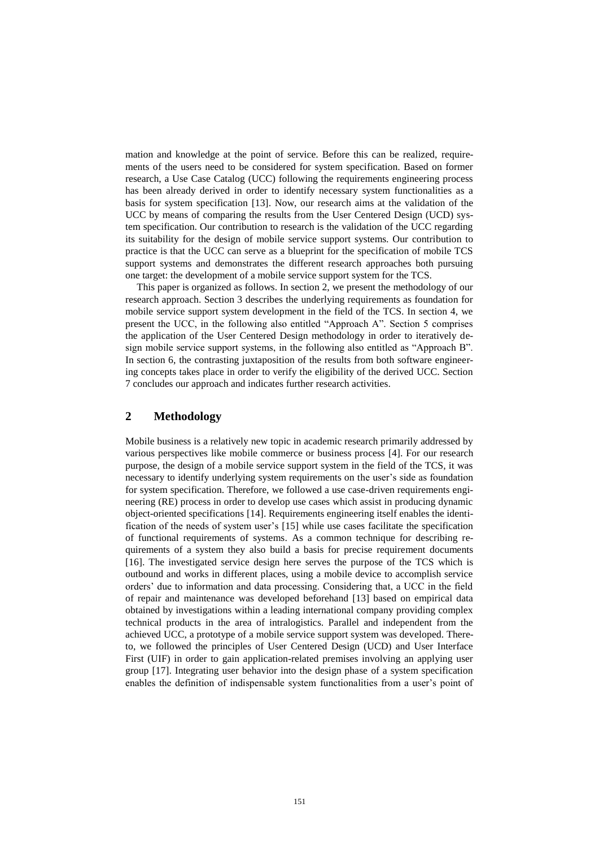mation and knowledge at the point of service. Before this can be realized, requirements of the users need to be considered for system specification. Based on former research, a Use Case Catalog (UCC) following the requirements engineering process has been already derived in order to identify necessary system functionalities as a basis for system specification [13]. Now, our research aims at the validation of the UCC by means of comparing the results from the User Centered Design (UCD) system specification. Our contribution to research is the validation of the UCC regarding its suitability for the design of mobile service support systems. Our contribution to practice is that the UCC can serve as a blueprint for the specification of mobile TCS support systems and demonstrates the different research approaches both pursuing one target: the development of a mobile service support system for the TCS.

This paper is organized as follows. In section 2, we present the methodology of our research approach. Section 3 describes the underlying requirements as foundation for mobile service support system development in the field of the TCS. In section 4, we present the UCC, in the following also entitled "Approach A". Section 5 comprises the application of the User Centered Design methodology in order to iteratively design mobile service support systems, in the following also entitled as "Approach B". In section 6, the contrasting juxtaposition of the results from both software engineering concepts takes place in order to verify the eligibility of the derived UCC. Section 7 concludes our approach and indicates further research activities.

# **2 Methodology**

Mobile business is a relatively new topic in academic research primarily addressed by various perspectives like mobile commerce or business process [4]. For our research purpose, the design of a mobile service support system in the field of the TCS, it was necessary to identify underlying system requirements on the user's side as foundation for system specification. Therefore, we followed a use case-driven requirements engineering (RE) process in order to develop use cases which assist in producing dynamic object-oriented specifications [14]. Requirements engineering itself enables the identification of the needs of system user's [15] while use cases facilitate the specification of functional requirements of systems. As a common technique for describing requirements of a system they also build a basis for precise requirement documents [16]. The investigated service design here serves the purpose of the TCS which is outbound and works in different places, using a mobile device to accomplish service orders' due to information and data processing. Considering that, a UCC in the field of repair and maintenance was developed beforehand [13] based on empirical data obtained by investigations within a leading international company providing complex technical products in the area of intralogistics. Parallel and independent from the achieved UCC, a prototype of a mobile service support system was developed. Thereto, we followed the principles of User Centered Design (UCD) and User Interface First (UIF) in order to gain application-related premises involving an applying user group [17]. Integrating user behavior into the design phase of a system specification enables the definition of indispensable system functionalities from a user's point of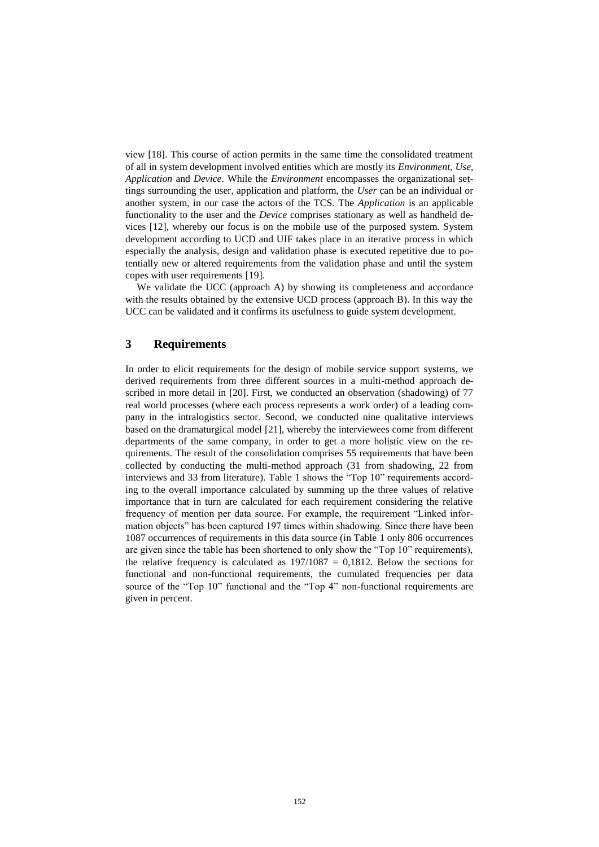view [18]. This course of action permits in the same time the consolidated treatment of all in system development involved entities which are mostly its *Environment*, *Use*, *Application* and *Device*. While the *Environment* encompasses the organizational settings surrounding the user, application and platform, the *User* can be an individual or another system, in our case the actors of the TCS. The *Application* is an applicable functionality to the user and the *Device* comprises stationary as well as handheld devices [12], whereby our focus is on the mobile use of the purposed system. System development according to UCD and UIF takes place in an iterative process in which especially the analysis, design and validation phase is executed repetitive due to potentially new or altered requirements from the validation phase and until the system copes with user requirements [19].

We validate the UCC (approach A) by showing its completeness and accordance with the results obtained by the extensive UCD process (approach B). In this way the UCC can be validated and it confirms its usefulness to guide system development.

# <span id="page-4-0"></span>**3 Requirements**

In order to elicit requirements for the design of mobile service support systems, we derived requirements from three different sources in a multi-method approach described in more detail in [20]. First, we conducted an observation (shadowing) of 77 real world processes (where each process represents a work order) of a leading company in the intralogistics sector. Second, we conducted nine qualitative interviews based on the dramaturgical model [21], whereby the interviewees come from different departments of the same company, in order to get a more holistic view on the requirements. The result of the consolidation comprises 55 requirements that have been collected by conducting the multi-method approach (31 from shadowing, 22 from interviews and 33 from literature). Table 1 shows the "Top 10" requirements according to the overall importance calculated by summing up the three values of relative importance that in turn are calculated for each requirement considering the relative frequency of mention per data source. For example, the requirement "Linked information objects" has been captured 197 times within shadowing. Since there have been 1087 occurrences of requirements in this data source (in Table 1 only 806 occurrences are given since the table has been shortened to only show the "Top 10" requirements), the relative frequency is calculated as  $197/1087 = 0,1812$ . Below the sections for functional and non-functional requirements, the cumulated frequencies per data source of the "Top 10" functional and the "Top 4" non-functional requirements are given in percent.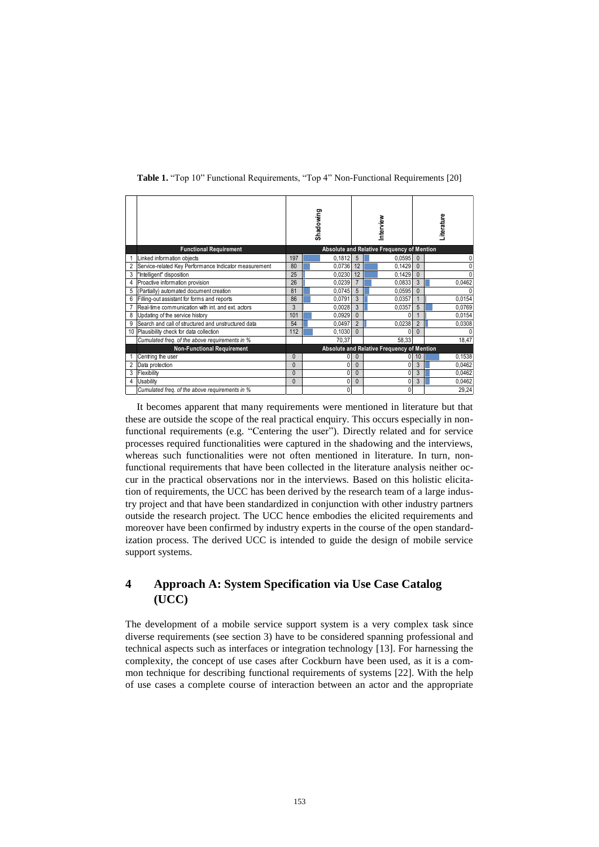|    |                                                       |              | Shadowing |        |                | Interview                                  | Literature     |        |
|----|-------------------------------------------------------|--------------|-----------|--------|----------------|--------------------------------------------|----------------|--------|
|    | <b>Functional Requirement</b>                         |              |           |        |                | Absolute and Relative Frequency of Mention |                |        |
|    | Linked information objects                            | 197          |           | 0.1812 | 5              | $0,0595$ 0                                 |                |        |
|    | Service-related Key Performance Indicator measurement | 80           |           | 0,0736 | 12             | 0,1429                                     | $\Omega$       |        |
| 3  | "Intelligent" disposition                             | 25           |           | 0,0230 | 12             | 0,1429                                     | $\Omega$       |        |
|    | Proactive information provision                       | 26           |           | 0,0239 |                | 0,0833                                     | 3              | 0,0462 |
| 5  | (Partially) automated document creation               | 81           |           | 0,0745 | 5              | 0.0595                                     | $\Omega$       |        |
|    | Filling-out assistant for forms and reports           | 86           |           | 0.0791 | 3              | 0.0357                                     |                | 0.0154 |
|    | Real-time communication with int. and ext. actors     | 3            |           | 0.0028 | 3              | 0,0357                                     | 5              | 0,0769 |
| 8  | Updating of the service history                       | 101          |           | 0,0929 | $\mathbf{0}$   | 0                                          |                | 0,0154 |
| 9  | Search and call of structured and unstructured data   | 54           |           | 0.0497 | $\overline{2}$ | 0,0238                                     | $\overline{2}$ | 0,0308 |
| 10 | Plausibility check for data collection                | 112          |           | 0,1030 | $\Omega$       |                                            |                |        |
|    | Cumulated freq. of the above requirements in %        |              |           | 70,37  |                | 58,33                                      |                | 18,47  |
|    | <b>Non-Functional Requirement</b>                     |              |           |        |                | Absolute and Relative Frequency of Mention |                |        |
|    | Centring the user                                     | $\mathbf{0}$ |           |        |                | 01                                         | 10             | 0,1538 |
|    | Data protection                                       | $\mathbf{0}$ |           |        |                | 0                                          | 3              | 0,0462 |
| 3  | Flexibility                                           | $\mathbf{0}$ |           | O      |                | 0                                          | 3              | 0,0462 |
| 4  | Usability                                             | $\mathbf{0}$ |           |        | 0              | 0                                          | 3              | 0,0462 |
|    | Cumulated freq. of the above requirements in %        |              |           | Λ      |                | Λ                                          |                | 29,24  |

**Table 1.** "Top 10" Functional Requirements, "Top 4" Non-Functional Requirements [20]

It becomes apparent that many requirements were mentioned in literature but that these are outside the scope of the real practical enquiry. This occurs especially in nonfunctional requirements (e.g. "Centering the user"). Directly related and for service processes required functionalities were captured in the shadowing and the interviews, whereas such functionalities were not often mentioned in literature. In turn, nonfunctional requirements that have been collected in the literature analysis neither occur in the practical observations nor in the interviews. Based on this holistic elicitation of requirements, the UCC has been derived by the research team of a large industry project and that have been standardized in conjunction with other industry partners outside the research project. The UCC hence embodies the elicited requirements and moreover have been confirmed by industry experts in the course of the open standardization process. The derived UCC is intended to guide the design of mobile service support systems.

# **4 Approach A: System Specification via Use Case Catalog (UCC)**

The development of a mobile service support system is a very complex task since diverse requirements (see section [3\)](#page-4-0) have to be considered spanning professional and technical aspects such as interfaces or integration technology [13]. For harnessing the complexity, the concept of use cases after Cockburn have been used, as it is a common technique for describing functional requirements of systems [22]. With the help of use cases a complete course of interaction between an actor and the appropriate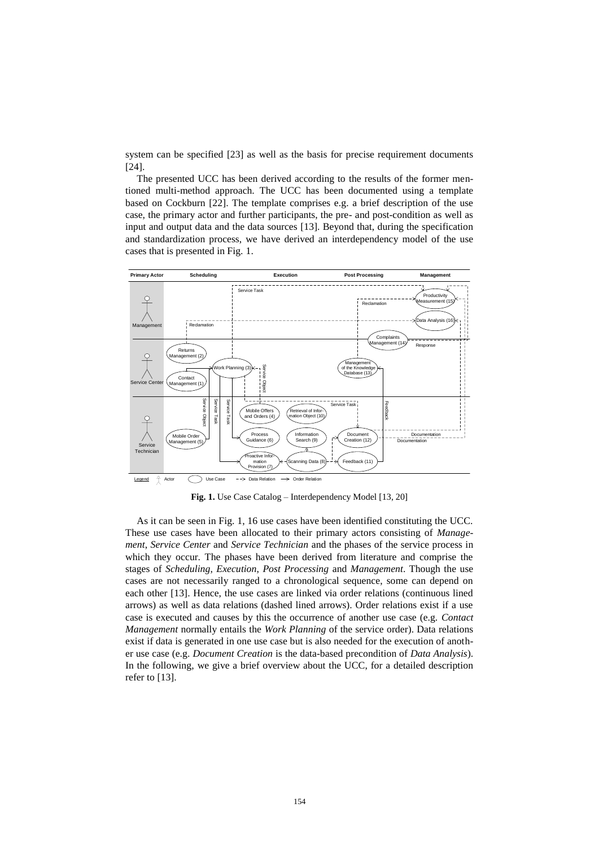system can be specified [23] as well as the basis for precise requirement documents [24].

The presented UCC has been derived according to the results of the former mentioned multi-method approach. The UCC has been documented using a template based on Cockburn [22]. The template comprises e.g. a brief description of the use case, the primary actor and further participants, the pre- and post-condition as well as input and output data and the data sources [13]. Beyond that, during the specification and standardization process, we have derived an interdependency model of the use cases that is presented in Fig. 1.



**Fig. 1.** Use Case Catalog – Interdependency Model [13, 20]

As it can be seen in Fig. 1, 16 use cases have been identified constituting the UCC. These use cases have been allocated to their primary actors consisting of *Management*, *Service Center* and *Service Technician* and the phases of the service process in which they occur. The phases have been derived from literature and comprise the stages of *Scheduling*, *Execution*, *Post Processing* and *Management*. Though the use cases are not necessarily ranged to a chronological sequence, some can depend on each other [13]. Hence, the use cases are linked via order relations (continuous lined arrows) as well as data relations (dashed lined arrows). Order relations exist if a use case is executed and causes by this the occurrence of another use case (e.g. *Contact Management* normally entails the *Work Planning* of the service order). Data relations exist if data is generated in one use case but is also needed for the execution of another use case (e.g. *Document Creation* is the data-based precondition of *Data Analysis*). In the following, we give a brief overview about the UCC, for a detailed description refer to [13].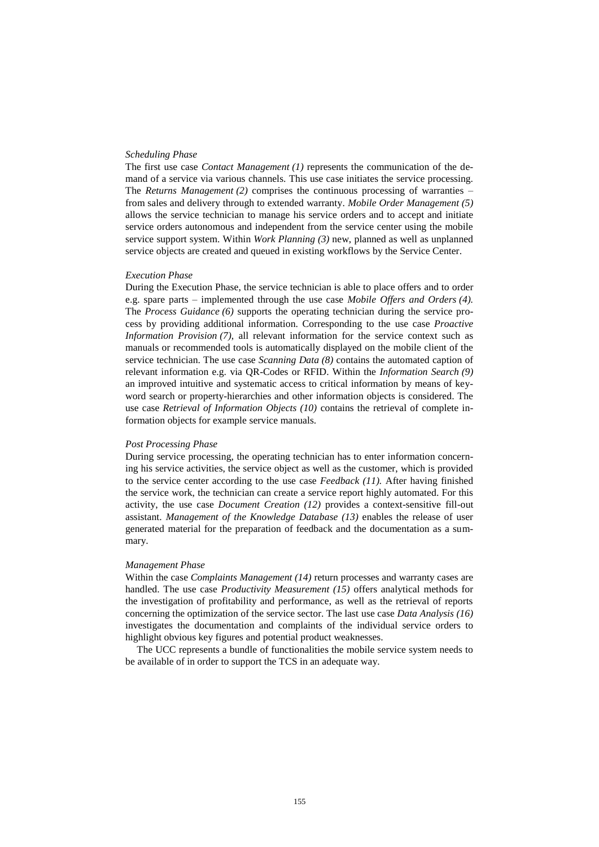#### *Scheduling Phase*

The first use case *Contact Management (1)* represents the communication of the demand of a service via various channels. This use case initiates the service processing. The *Returns Management (2)* comprises the continuous processing of warranties – from sales and delivery through to extended warranty. *Mobile Order Management (5)* allows the service technician to manage his service orders and to accept and initiate service orders autonomous and independent from the service center using the mobile service support system. Within *Work Planning (3)* new, planned as well as unplanned service objects are created and queued in existing workflows by the Service Center.

#### *Execution Phase*

During the Execution Phase, the service technician is able to place offers and to order e.g. spare parts – implemented through the use case *Mobile Offers and Orders (4).*  The *Process Guidance (6)* supports the operating technician during the service process by providing additional information. Corresponding to the use case *Proactive Information Provision (7)*, all relevant information for the service context such as manuals or recommended tools is automatically displayed on the mobile client of the service technician. The use case *Scanning Data (8)* contains the automated caption of relevant information e.g. via QR-Codes or RFID. Within the *Information Search (9)* an improved intuitive and systematic access to critical information by means of keyword search or property-hierarchies and other information objects is considered. The use case *Retrieval of Information Objects (10)* contains the retrieval of complete information objects for example service manuals.

#### *Post Processing Phase*

During service processing, the operating technician has to enter information concerning his service activities, the service object as well as the customer, which is provided to the service center according to the use case *Feedback (11).* After having finished the service work, the technician can create a service report highly automated. For this activity, the use case *Document Creation (12)* provides a context-sensitive fill-out assistant. *Management of the Knowledge Database (13)* enables the release of user generated material for the preparation of feedback and the documentation as a summary.

#### *Management Phase*

Within the case *Complaints Management (14)* return processes and warranty cases are handled. The use case *Productivity Measurement (15)* offers analytical methods for the investigation of profitability and performance, as well as the retrieval of reports concerning the optimization of the service sector. The last use case *Data Analysis (16)* investigates the documentation and complaints of the individual service orders to highlight obvious key figures and potential product weaknesses.

The UCC represents a bundle of functionalities the mobile service system needs to be available of in order to support the TCS in an adequate way.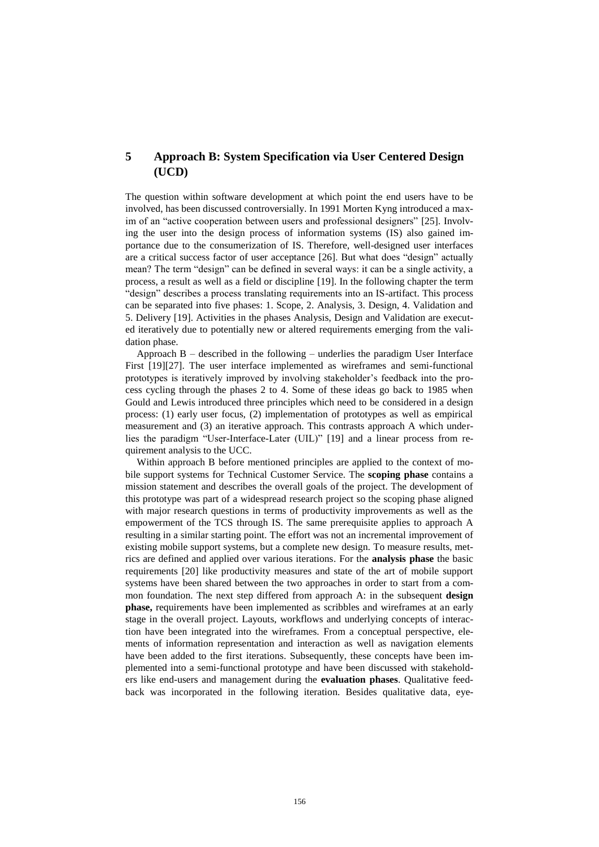# **5 Approach B: System Specification via User Centered Design (UCD)**

The question within software development at which point the end users have to be involved, has been discussed controversially. In 1991 Morten Kyng introduced a maxim of an "active cooperation between users and professional designers" [25]. Involving the user into the design process of information systems (IS) also gained importance due to the consumerization of IS. Therefore, well-designed user interfaces are a critical success factor of user acceptance [26]. But what does "design" actually mean? The term "design" can be defined in several ways: it can be a single activity, a process, a result as well as a field or discipline [19]. In the following chapter the term "design" describes a process translating requirements into an IS-artifact. This process can be separated into five phases: 1. Scope, 2. Analysis, 3. Design, 4. Validation and 5. Delivery [19]. Activities in the phases Analysis, Design and Validation are executed iteratively due to potentially new or altered requirements emerging from the validation phase.

Approach B – described in the following – underlies the paradigm User Interface First [19][27]. The user interface implemented as wireframes and semi-functional prototypes is iteratively improved by involving stakeholder's feedback into the process cycling through the phases 2 to 4. Some of these ideas go back to 1985 when Gould and Lewis introduced three principles which need to be considered in a design process: (1) early user focus, (2) implementation of prototypes as well as empirical measurement and (3) an iterative approach. This contrasts approach A which underlies the paradigm "User-Interface-Later (UIL)" [19] and a linear process from requirement analysis to the UCC.

Within approach B before mentioned principles are applied to the context of mobile support systems for Technical Customer Service. The **scoping phase** contains a mission statement and describes the overall goals of the project. The development of this prototype was part of a widespread research project so the scoping phase aligned with major research questions in terms of productivity improvements as well as the empowerment of the TCS through IS. The same prerequisite applies to approach A resulting in a similar starting point. The effort was not an incremental improvement of existing mobile support systems, but a complete new design. To measure results, metrics are defined and applied over various iterations. For the **analysis phase** the basic requirements [20] like productivity measures and state of the art of mobile support systems have been shared between the two approaches in order to start from a common foundation. The next step differed from approach A: in the subsequent **design phase,** requirements have been implemented as scribbles and wireframes at an early stage in the overall project. Layouts, workflows and underlying concepts of interaction have been integrated into the wireframes. From a conceptual perspective, elements of information representation and interaction as well as navigation elements have been added to the first iterations. Subsequently, these concepts have been implemented into a semi-functional prototype and have been discussed with stakeholders like end-users and management during the **evaluation phases**. Qualitative feedback was incorporated in the following iteration. Besides qualitative data, eye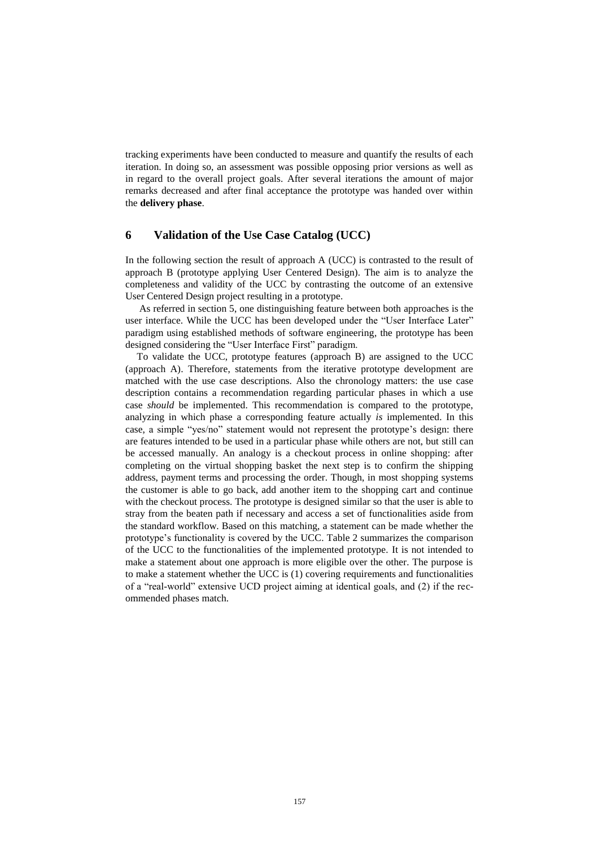tracking experiments have been conducted to measure and quantify the results of each iteration. In doing so, an assessment was possible opposing prior versions as well as in regard to the overall project goals. After several iterations the amount of major remarks decreased and after final acceptance the prototype was handed over within the **delivery phase**.

# **6 Validation of the Use Case Catalog (UCC)**

In the following section the result of approach A (UCC) is contrasted to the result of approach B (prototype applying User Centered Design). The aim is to analyze the completeness and validity of the UCC by contrasting the outcome of an extensive User Centered Design project resulting in a prototype.

As referred in section 5, one distinguishing feature between both approaches is the user interface. While the UCC has been developed under the "User Interface Later" paradigm using established methods of software engineering, the prototype has been designed considering the "User Interface First" paradigm.

To validate the UCC, prototype features (approach B) are assigned to the UCC (approach A). Therefore, statements from the iterative prototype development are matched with the use case descriptions. Also the chronology matters: the use case description contains a recommendation regarding particular phases in which a use case *should* be implemented. This recommendation is compared to the prototype, analyzing in which phase a corresponding feature actually *is* implemented. In this case, a simple "yes/no" statement would not represent the prototype's design: there are features intended to be used in a particular phase while others are not, but still can be accessed manually. An analogy is a checkout process in online shopping: after completing on the virtual shopping basket the next step is to confirm the shipping address, payment terms and processing the order. Though, in most shopping systems the customer is able to go back, add another item to the shopping cart and continue with the checkout process. The prototype is designed similar so that the user is able to stray from the beaten path if necessary and access a set of functionalities aside from the standard workflow. Based on this matching, a statement can be made whether the prototype's functionality is covered by the UCC. Table 2 summarizes the comparison of the UCC to the functionalities of the implemented prototype. It is not intended to make a statement about one approach is more eligible over the other. The purpose is to make a statement whether the UCC is (1) covering requirements and functionalities of a "real-world" extensive UCD project aiming at identical goals, and (2) if the recommended phases match.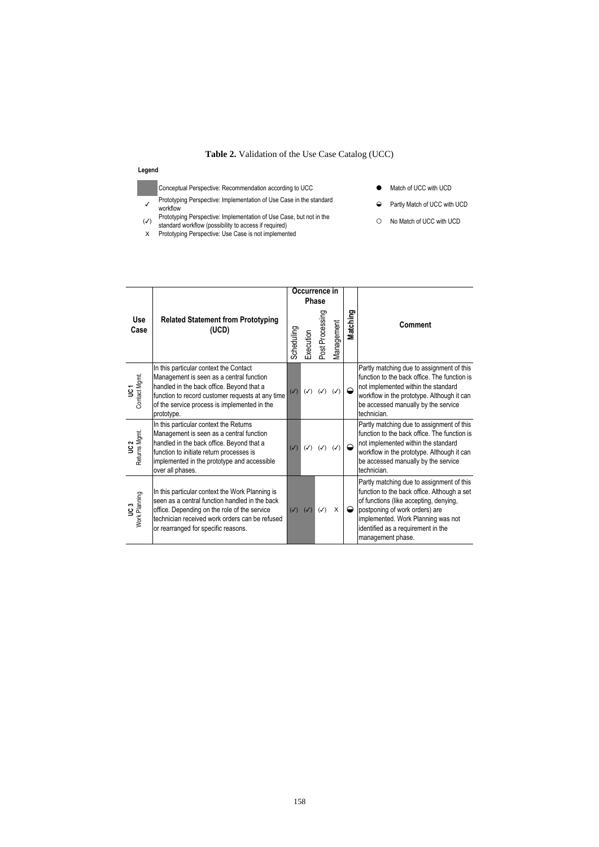# **Table 2.** Validation of the Use Case Catalog (UCC)

# **Legend**

Conceptual Perspective: Recommendation according to UCC ● Match of UCC with UCD

Prototyping Perspective: Implementation of Use Case in the standard<br>
workflow vorkflow

- (✓) Prototyping Perspective: Implementation of Use Case, but not in the Case of the Communic Communic Communic<br>(✓) standard workflow (possibility to access if required)
- X Prototyping Perspective: Use Case is not implemented
- 
- 
- 

|                       |                                                                                                                                                                                                                                                   | Occurrence in<br>Phase |                |                         |              |          |                                                                                                                                                                                                                                                                       |  |
|-----------------------|---------------------------------------------------------------------------------------------------------------------------------------------------------------------------------------------------------------------------------------------------|------------------------|----------------|-------------------------|--------------|----------|-----------------------------------------------------------------------------------------------------------------------------------------------------------------------------------------------------------------------------------------------------------------------|--|
| <b>Use</b><br>Case    | <b>Related Statement from Prototyping</b><br>(UCD)                                                                                                                                                                                                | Scheduling             | Execution      | Post Processing         | Vlanagement  | Matching | Comment                                                                                                                                                                                                                                                               |  |
| UC1<br>Contact Mgmt.  | In this particular context the Contact<br>Management is seen as a central function<br>handled in the back office. Beyond that a<br>function to record customer requests at any time<br>of the service process is implemented in the<br>prototype. | $(\checkmark)$         | $(\checkmark)$ | $(\checkmark)$          | $(\sqrt{2})$ |          | Partly matching due to assignment of this<br>function to the back office. The function is<br>not implemented within the standard<br>workflow in the prototype. Although it can<br>be accessed manually by the service<br>technician.                                  |  |
| UC 2<br>Returns Mgmt. | In this particular context the Returns<br>Management is seen as a central function<br>handled in the back office. Beyond that a<br>function to initiate return processes is<br>implemented in the prototype and accessible<br>over all phases.    | $(\checkmark)$         |                | $(\sqrt{)}$ $(\sqrt{)}$ |              |          | Partly matching due to assignment of this<br>function to the back office. The function is<br>not implemented within the standard<br>workflow in the prototype. Although it can<br>be accessed manually by the service<br>technician.                                  |  |
| UC 3<br>Work Planning | In this particular context the Work Planning is<br>seen as a central function handled in the back<br>office. Depending on the role of the service<br>technician received work orders can be refused<br>or rearranged for specific reasons.        | $(\checkmark)$         | $(\sqrt{2})$   | $(\checkmark)$          | X            | ◒        | Partly matching due to assignment of this<br>function to the back office. Although a set<br>of functions (like accepting, denying,<br>postponing of work orders) are<br>implemented. Work Planning was not<br>identified as a requirement in the<br>management phase. |  |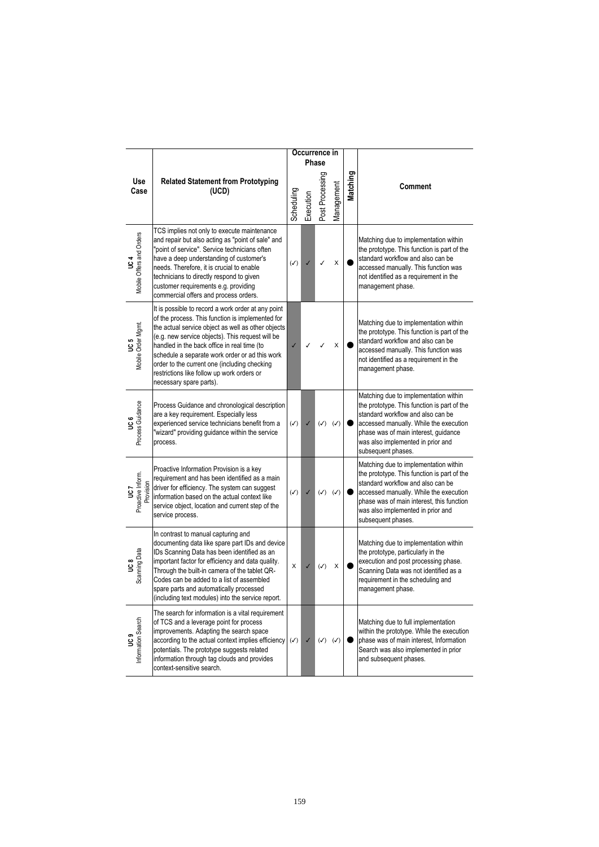|                                             | <b>Related Statement from Prototyping</b><br>(UCD)                                                                                                                                                                                                                                                                                                                                                                                         | Occurrence in<br>Phase |           |                               |                |          |                                                                                                                                                                                                                                                                             |  |
|---------------------------------------------|--------------------------------------------------------------------------------------------------------------------------------------------------------------------------------------------------------------------------------------------------------------------------------------------------------------------------------------------------------------------------------------------------------------------------------------------|------------------------|-----------|-------------------------------|----------------|----------|-----------------------------------------------------------------------------------------------------------------------------------------------------------------------------------------------------------------------------------------------------------------------------|--|
| Use<br>Case                                 |                                                                                                                                                                                                                                                                                                                                                                                                                                            | Scheduling             | Execution | Post Processing               | Management     | Matching | Comment                                                                                                                                                                                                                                                                     |  |
| Mobile Offers and Orders<br>UC <sub>4</sub> | TCS implies not only to execute maintenance<br>and repair but also acting as "point of sale" and<br>"point of service". Service technicians often<br>have a deep understanding of customer's<br>needs. Therefore, it is crucial to enable<br>technicians to directly respond to given<br>customer requirements e.g. providing<br>commercial offers and process orders.                                                                     | $(\checkmark)$         |           |                               | X              |          | Matching due to implementation within<br>the prototype. This function is part of the<br>standard workflow and also can be<br>accessed manually. This function was<br>not identified as a requirement in the<br>management phase.                                            |  |
| Mobile Order Mgmt.                          | It is possible to record a work order at any point<br>of the process. This function is implemented for<br>the actual service object as well as other objects<br>(e.g. new service objects). This request will be<br>handled in the back office in real time (to<br>schedule a separate work order or ad this work<br>order to the current one (including checking<br>restrictions like follow up work orders or<br>necessary spare parts). | $\checkmark$           |           |                               | Χ              |          | Matching due to implementation within<br>the prototype. This function is part of the<br>standard workflow and also can be<br>accessed manually. This function was<br>not identified as a requirement in the<br>management phase.                                            |  |
| Process Guidance<br>UC 6                    | Process Guidance and chronological description<br>are a key requirement. Especially less<br>experienced service technicians benefit from a<br>"wizard" providing guidance within the service<br>process.                                                                                                                                                                                                                                   | $(\checkmark)$         |           | $(\checkmark)$                | $(\checkmark)$ |          | Matching due to implementation within<br>the prototype. This function is part of the<br>standard workflow and also can be<br>accessed manually. While the execution<br>phase was of main interest, guidance<br>was also implemented in prior and<br>subsequent phases.      |  |
| Proactive Inform.<br>Provision<br>ūΩ        | Proactive Information Provision is a key<br>requirement and has been identified as a main<br>driver for efficiency. The system can suggest<br>information based on the actual context like<br>service object, location and current step of the<br>service process.                                                                                                                                                                         | $(\checkmark)$         |           | $(\checkmark)$                | $(\checkmark)$ |          | Matching due to implementation within<br>the prototype. This function is part of the<br>standard workflow and also can be<br>accessed manually. While the execution<br>phase was of main interest, this function<br>was also implemented in prior and<br>subsequent phases. |  |
| Scanning Data<br>UC <sub>8</sub>            | In contrast to manual capturing and<br>documenting data like spare part IDs and device<br>IDs Scanning Data has been identified as an<br>important factor for efficiency and data quality.<br>Through the built-in camera of the tablet QR-<br>Codes can be added to a list of assembled<br>spare parts and automatically processed<br>(including text modules) into the service report.                                                   | X                      |           | $(\checkmark)$                | X              |          | Matching due to implementation within<br>the prototype, particularly in the<br>execution and post processing phase.<br>Scanning Data was not identified as a<br>requirement in the scheduling and<br>management phase.                                                      |  |
| Information Search                          | The search for information is a vital requirement<br>of TCS and a leverage point for process<br>improvements. Adapting the search space<br>according to the actual context implies efficiency<br>potentials. The prototype suggests related<br>information through tag clouds and provides<br>context-sensitive search.                                                                                                                    | $(\checkmark)$         |           | $(\checkmark)$ $(\checkmark)$ |                |          | Matching due to full implementation<br>within the prototype. While the execution<br>phase was of main interest, Information<br>Search was also implemented in prior<br>and subsequent phases.                                                                               |  |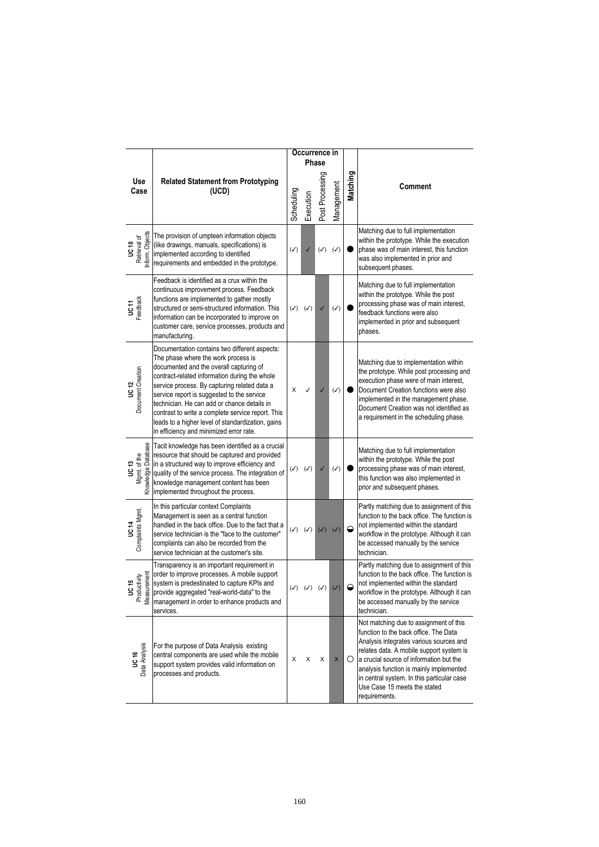|                                             | <b>Related Statement from Prototyping</b><br>(UCD)                                                                                                                                                                                                                                                                                                                                                                                                                                 | Occurrence in<br>Phase |                |                 |                |           |                                                                                                                                                                                                                                                                                                                                                             |  |
|---------------------------------------------|------------------------------------------------------------------------------------------------------------------------------------------------------------------------------------------------------------------------------------------------------------------------------------------------------------------------------------------------------------------------------------------------------------------------------------------------------------------------------------|------------------------|----------------|-----------------|----------------|-----------|-------------------------------------------------------------------------------------------------------------------------------------------------------------------------------------------------------------------------------------------------------------------------------------------------------------------------------------------------------------|--|
| Use<br>Case                                 |                                                                                                                                                                                                                                                                                                                                                                                                                                                                                    | Scheduling             | Execution      | Post Processing | Management     | Matching  | Comment                                                                                                                                                                                                                                                                                                                                                     |  |
| nform. Objects<br>UC 10<br>Retrieval of     | The provision of umpteen information objects<br>(like drawings, manuals, specifications) is<br>implemented according to identified<br>requirements and embedded in the prototype.                                                                                                                                                                                                                                                                                                  | $(\checkmark)$         |                | $(\checkmark)$  | $(\checkmark)$ |           | Matching due to full implementation<br>within the prototype. While the execution<br>phase was of main interest, this function<br>was also implemented in prior and<br>subsequent phases.                                                                                                                                                                    |  |
| UC 11<br>Feedback                           | Feedback is identified as a crux within the<br>continuous improvement process. Feedback<br>functions are implemented to gather mostly<br>structured or semi-structured information. This<br>information can be incorporated to improve on<br>customer care, service processes, products and<br>manufacturing.                                                                                                                                                                      | $(\checkmark)$         | $(\checkmark)$ |                 | $(\checkmark)$ |           | Matching due to full implementation<br>within the prototype. While the post<br>processing phase was of main interest,<br>feedback functions were also<br>implemented in prior and subsequent<br>phases.                                                                                                                                                     |  |
| Document Creation<br><b>UC12</b>            | Documentation contains two different aspects:<br>The phase where the work process is<br>documented and the overall capturing of<br>contract-related information during the whole<br>service process. By capturing related data a<br>service report is suggested to the service<br>technician. He can add or chance details in<br>contrast to write a complete service report. This<br>leads to a higher level of standardization, gains<br>in efficiency and minimized error rate. | Χ                      |                |                 | $(\checkmark)$ |           | Matching due to implementation within<br>the prototype. While post processing and<br>execution phase were of main interest,<br>Document Creation functions were also<br>implemented in the management phase.<br>Document Creation was not identified as<br>a requirement in the scheduling phase.                                                           |  |
| Knowledge Database<br>UC 13<br>Mgmt. of the | Tacit knowledge has been identified as a crucial<br>resource that should be captured and provided<br>in a structured way to improve efficiency and<br>quality of the service process. The integration of<br>knowledge management content has been<br>implemented throughout the process.                                                                                                                                                                                           | $(\checkmark)$         | $(\sqrt{2})$   |                 | $(\checkmark)$ |           | Matching due to full implementation<br>within the prototype. While the post<br>processing phase was of main interest,<br>this function was also implemented in<br>prior and subsequent phases.                                                                                                                                                              |  |
| Complaints Mgmt.<br><b>UC 14</b>            | In this particular context Complaints<br>Management is seen as a central function<br>handled in the back office. Due to the fact that a<br>service technician is the "face to the customer"<br>complaints can also be recorded from the<br>service technician at the customer's site.                                                                                                                                                                                              | $(\checkmark)$         | $(\checkmark)$ | $(\checkmark)$  |                | $\bullet$ | Partly matching due to assignment of this<br>function to the back office. The function is<br>not implemented within the standard<br>workflow in the prototype. Although it can<br>be accessed manually by the service<br>technician.                                                                                                                        |  |
| <b>UC15</b>                                 | Transparency is an important requirement in<br>order to improve processes. A mobile support<br>Example 10<br>Example 10<br>Example 10<br>Bystem is predestinated to vertex and<br>Bystem is predestinated to vertex<br>Bystem in order to enhance products and<br>$\frac{1}{2}$ management in order to enhance products and<br>A continues.                                                                                                                                        | $(\checkmark)$         |                | $(\checkmark)$  | $(\checkmark)$ |           | Partly matching due to assignment of this<br>function to the back office. The function is<br>not implemented within the standard<br>workflow in the prototype. Although it can<br>be accessed manually by the service<br>technician.                                                                                                                        |  |
| UC 16<br>Data Analysis                      | For the purpose of Data Analysis existing<br>central components are used while the mobile<br>support system provides valid information on<br>processes and products.                                                                                                                                                                                                                                                                                                               | X                      | Χ              | Х               | X              | О         | Not matching due to assignment of this<br>function to the back office. The Data<br>Analysis integrates various sources and<br>relates data. A mobile support system is<br>a crucial source of information but the<br>analysis function is mainly implemented<br>in central system. In this particular case<br>Use Case 15 meets the stated<br>requirements. |  |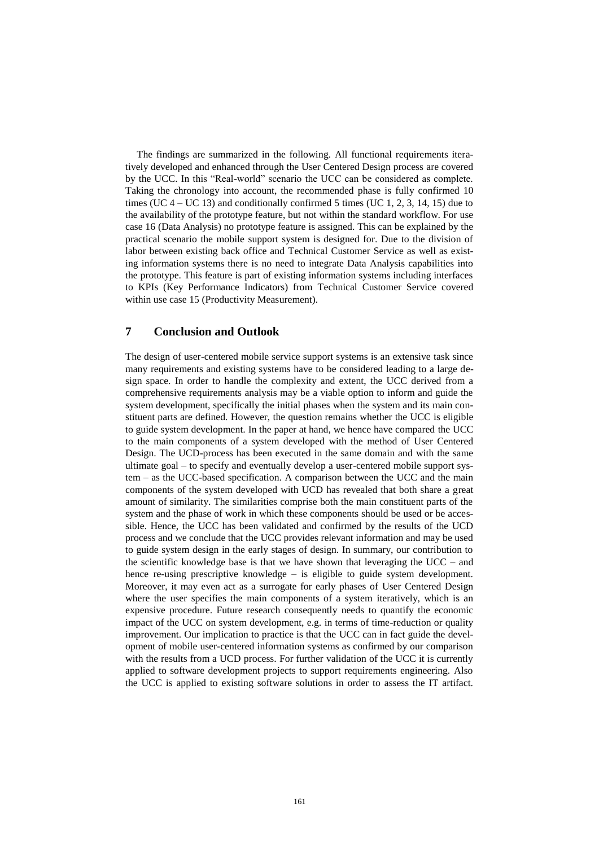The findings are summarized in the following. All functional requirements iteratively developed and enhanced through the User Centered Design process are covered by the UCC. In this "Real-world" scenario the UCC can be considered as complete. Taking the chronology into account, the recommended phase is fully confirmed 10 times (UC  $4 - U\text{C}$  13) and conditionally confirmed 5 times (UC 1, 2, 3, 14, 15) due to the availability of the prototype feature, but not within the standard workflow. For use case 16 (Data Analysis) no prototype feature is assigned. This can be explained by the practical scenario the mobile support system is designed for. Due to the division of labor between existing back office and Technical Customer Service as well as existing information systems there is no need to integrate Data Analysis capabilities into the prototype. This feature is part of existing information systems including interfaces to KPIs (Key Performance Indicators) from Technical Customer Service covered within use case 15 (Productivity Measurement).

# **7 Conclusion and Outlook**

The design of user-centered mobile service support systems is an extensive task since many requirements and existing systems have to be considered leading to a large design space. In order to handle the complexity and extent, the UCC derived from a comprehensive requirements analysis may be a viable option to inform and guide the system development, specifically the initial phases when the system and its main constituent parts are defined. However, the question remains whether the UCC is eligible to guide system development. In the paper at hand, we hence have compared the UCC to the main components of a system developed with the method of User Centered Design. The UCD-process has been executed in the same domain and with the same ultimate goal – to specify and eventually develop a user-centered mobile support system – as the UCC-based specification. A comparison between the UCC and the main components of the system developed with UCD has revealed that both share a great amount of similarity. The similarities comprise both the main constituent parts of the system and the phase of work in which these components should be used or be accessible. Hence, the UCC has been validated and confirmed by the results of the UCD process and we conclude that the UCC provides relevant information and may be used to guide system design in the early stages of design. In summary, our contribution to the scientific knowledge base is that we have shown that leveraging the  $UCC - and$ hence re-using prescriptive knowledge – is eligible to guide system development. Moreover, it may even act as a surrogate for early phases of User Centered Design where the user specifies the main components of a system iteratively, which is an expensive procedure. Future research consequently needs to quantify the economic impact of the UCC on system development, e.g. in terms of time-reduction or quality improvement. Our implication to practice is that the UCC can in fact guide the development of mobile user-centered information systems as confirmed by our comparison with the results from a UCD process. For further validation of the UCC it is currently applied to software development projects to support requirements engineering. Also the UCC is applied to existing software solutions in order to assess the IT artifact.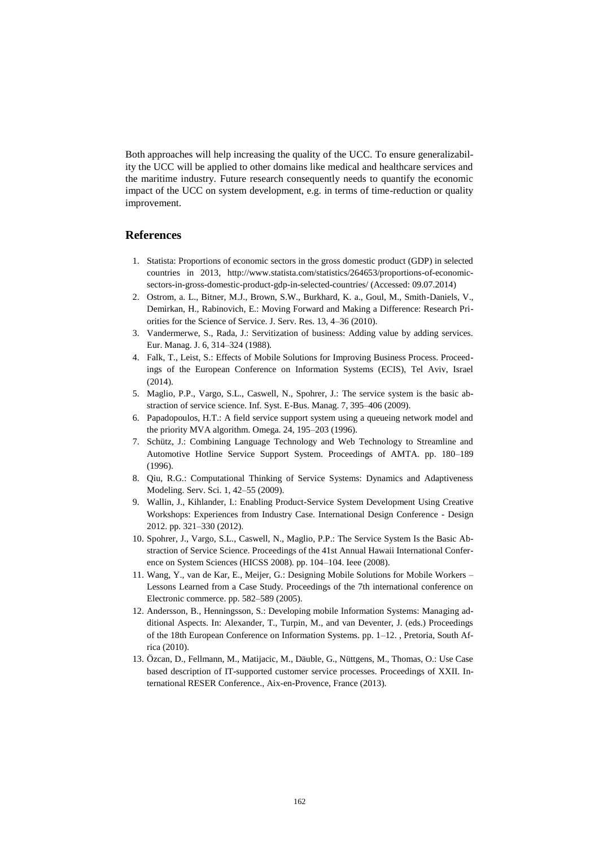Both approaches will help increasing the quality of the UCC. To ensure generalizability the UCC will be applied to other domains like medical and healthcare services and the maritime industry. Future research consequently needs to quantify the economic impact of the UCC on system development, e.g. in terms of time-reduction or quality improvement.

### **References**

- 1. Statista: Proportions of economic sectors in the gross domestic product (GDP) in selected countries in 2013, http://www.statista.com/statistics/264653/proportions-of-economicsectors-in-gross-domestic-product-gdp-in-selected-countries/ (Accessed: 09.07.2014)
- 2. Ostrom, a. L., Bitner, M.J., Brown, S.W., Burkhard, K. a., Goul, M., Smith-Daniels, V., Demirkan, H., Rabinovich, E.: Moving Forward and Making a Difference: Research Priorities for the Science of Service. J. Serv. Res. 13, 4–36 (2010).
- 3. Vandermerwe, S., Rada, J.: Servitization of business: Adding value by adding services. Eur. Manag. J. 6, 314–324 (1988).
- 4. Falk, T., Leist, S.: Effects of Mobile Solutions for Improving Business Process. Proceedings of the European Conference on Information Systems (ECIS), Tel Aviv, Israel (2014).
- 5. Maglio, P.P., Vargo, S.L., Caswell, N., Spohrer, J.: The service system is the basic abstraction of service science. Inf. Syst. E-Bus. Manag. 7, 395–406 (2009).
- 6. Papadopoulos, H.T.: A field service support system using a queueing network model and the priority MVA algorithm. Omega. 24, 195–203 (1996).
- 7. Schütz, J.: Combining Language Technology and Web Technology to Streamline and Automotive Hotline Service Support System. Proceedings of AMTA. pp. 180–189 (1996).
- 8. Qiu, R.G.: Computational Thinking of Service Systems: Dynamics and Adaptiveness Modeling. Serv. Sci. 1, 42–55 (2009).
- 9. Wallin, J., Kihlander, I.: Enabling Product-Service System Development Using Creative Workshops: Experiences from Industry Case. International Design Conference - Design 2012. pp. 321–330 (2012).
- 10. Spohrer, J., Vargo, S.L., Caswell, N., Maglio, P.P.: The Service System Is the Basic Abstraction of Service Science. Proceedings of the 41st Annual Hawaii International Conference on System Sciences (HICSS 2008). pp. 104–104. Ieee (2008).
- 11. Wang, Y., van de Kar, E., Meijer, G.: Designing Mobile Solutions for Mobile Workers Lessons Learned from a Case Study. Proceedings of the 7th international conference on Electronic commerce. pp. 582–589 (2005).
- 12. Andersson, B., Henningsson, S.: Developing mobile Information Systems: Managing additional Aspects. In: Alexander, T., Turpin, M., and van Deventer, J. (eds.) Proceedings of the 18th European Conference on Information Systems. pp. 1–12. , Pretoria, South Africa (2010).
- 13. Özcan, D., Fellmann, M., Matijacic, M., Däuble, G., Nüttgens, M., Thomas, O.: Use Case based description of IT-supported customer service processes. Proceedings of XXII. International RESER Conference., Aix-en-Provence, France (2013).